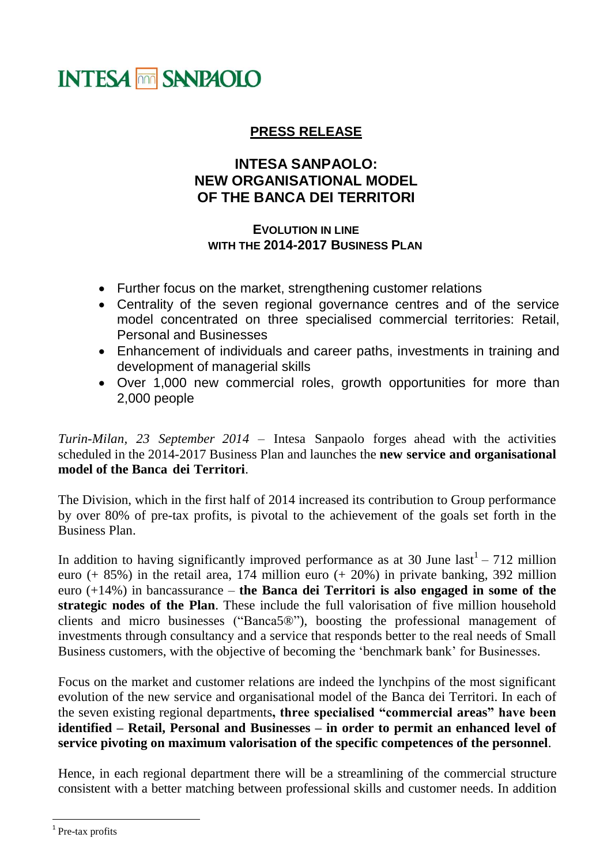## **INTESA MM SANPAOLO**

## **PRESS RELEASE**

## **INTESA SANPAOLO: NEW ORGANISATIONAL MODEL OF THE BANCA DEI TERRITORI**

## **EVOLUTION IN LINE WITH THE 2014-2017 BUSINESS PLAN**

- Further focus on the market, strengthening customer relations
- Centrality of the seven regional governance centres and of the service model concentrated on three specialised commercial territories: Retail, Personal and Businesses
- Enhancement of individuals and career paths, investments in training and development of managerial skills
- Over 1,000 new commercial roles, growth opportunities for more than 2,000 people

*Turin-Milan, 23 September 2014* – Intesa Sanpaolo forges ahead with the activities scheduled in the 2014-2017 Business Plan and launches the **new service and organisational model of the Banca dei Territori**.

The Division, which in the first half of 2014 increased its contribution to Group performance by over 80% of pre-tax profits, is pivotal to the achievement of the goals set forth in the Business Plan.

In addition to having significantly improved performance as at 30 June  $last<sup>1</sup> - 712$  million euro (+ 85%) in the retail area, 174 million euro (+ 20%) in private banking, 392 million euro (+14%) in bancassurance – **the Banca dei Territori is also engaged in some of the strategic nodes of the Plan**. These include the full valorisation of five million household clients and micro businesses ("Banca5®"), boosting the professional management of investments through consultancy and a service that responds better to the real needs of Small Business customers, with the objective of becoming the 'benchmark bank' for Businesses.

Focus on the market and customer relations are indeed the lynchpins of the most significant evolution of the new service and organisational model of the Banca dei Territori. In each of the seven existing regional departments**, three specialised "commercial areas" have been identified – Retail, Personal and Businesses – in order to permit an enhanced level of service pivoting on maximum valorisation of the specific competences of the personnel**.

Hence, in each regional department there will be a streamlining of the commercial structure consistent with a better matching between professional skills and customer needs. In addition

 $\overline{a}$ 

<sup>&</sup>lt;sup>1</sup> Pre-tax profits